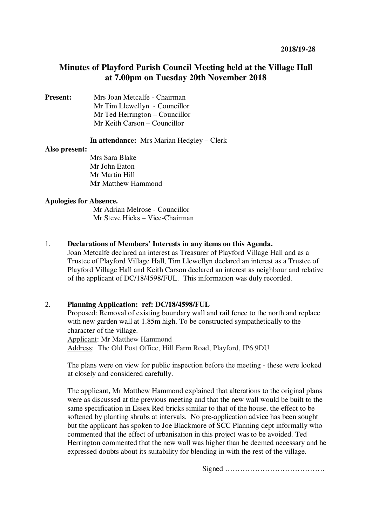# **Minutes of Playford Parish Council Meeting held at the Village Hall at 7.00pm on Tuesday 20th November 2018**

**Present:** Mrs Joan Metcalfe - Chairman Mr Tim Llewellyn- Councillor Mr Ted Herrington – Councillor Mr Keith Carson – Councillor

**In attendance:** Mrs Marian Hedgley – Clerk

#### **Also present:**

 Mrs Sara Blake Mr John Eaton Mr Martin Hill **Mr** Matthew Hammond

#### **Apologies for Absence.**

 Mr Adrian Melrose - Councillor Mr Steve Hicks – Vice-Chairman

## 1. **Declarations of Members' Interests in any items on this Agenda.**

Joan Metcalfe declared an interest as Treasurer of Playford Village Hall and as a Trustee of Playford Village Hall, Tim Llewellyn declared an interest as a Trustee of Playford Village Hall and Keith Carson declared an interest as neighbour and relative of the applicant of DC/18/4598/FUL. This information was duly recorded.

## 2. **Planning Application: ref: DC/18/4598/FUL**

Proposed: Removal of existing boundary wall and rail fence to the north and replace with new garden wall at 1.85m high. To be constructed sympathetically to the character of the village. Applicant: Mr Matthew Hammond Address: The Old Post Office, Hill Farm Road, Playford, IP6 9DU

The plans were on view for public inspection before the meeting - these were looked at closely and considered carefully.

The applicant, Mr Matthew Hammond explained that alterations to the original plans were as discussed at the previous meeting and that the new wall would be built to the same specification in Essex Red bricks similar to that of the house, the effect to be softened by planting shrubs at intervals. No pre-application advice has been sought but the applicant has spoken to Joe Blackmore of SCC Planning dept informally who commented that the effect of urbanisation in this project was to be avoided. Ted Herrington commented that the new wall was higher than he deemed necessary and he expressed doubts about its suitability for blending in with the rest of the village.

Signed ………………………………….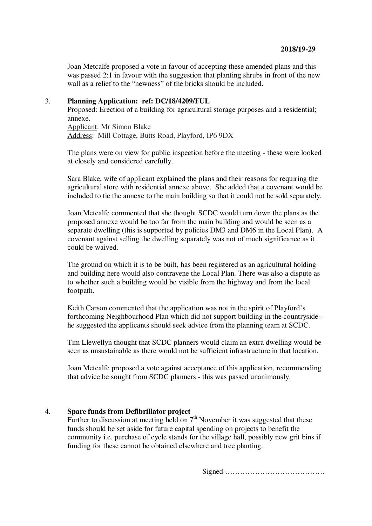Joan Metcalfe proposed a vote in favour of accepting these amended plans and this was passed 2:1 in favour with the suggestion that planting shrubs in front of the new wall as a relief to the "newness" of the bricks should be included.

#### 3. **Planning Application: ref: DC/18/4209/FUL**

Proposed: Erection of a building for agricultural storage purposes and a residential; annexe. Applicant: Mr Simon Blake Address: Mill Cottage, Butts Road, Playford, IP6 9DX

The plans were on view for public inspection before the meeting - these were looked at closely and considered carefully.

Sara Blake, wife of applicant explained the plans and their reasons for requiring the agricultural store with residential annexe above. She added that a covenant would be included to tie the annexe to the main building so that it could not be sold separately.

Joan Metcalfe commented that she thought SCDC would turn down the plans as the proposed annexe would be too far from the main building and would be seen as a separate dwelling (this is supported by policies DM3 and DM6 in the Local Plan). A covenant against selling the dwelling separately was not of much significance as it could be waived.

The ground on which it is to be built, has been registered as an agricultural holding and building here would also contravene the Local Plan. There was also a dispute as to whether such a building would be visible from the highway and from the local footpath.

Keith Carson commented that the application was not in the spirit of Playford's forthcoming Neighbourhood Plan which did not support building in the countryside – he suggested the applicants should seek advice from the planning team at SCDC.

Tim Llewellyn thought that SCDC planners would claim an extra dwelling would be seen as unsustainable as there would not be sufficient infrastructure in that location.

Joan Metcalfe proposed a vote against acceptance of this application, recommending that advice be sought from SCDC planners - this was passed unanimously.

## 4. **Spare funds from Defibrillator project**

Further to discussion at meeting held on  $7<sup>th</sup>$  November it was suggested that these funds should be set aside for future capital spending on projects to benefit the community i.e. purchase of cycle stands for the village hall, possibly new grit bins if funding for these cannot be obtained elsewhere and tree planting.

Signed ………………………………….